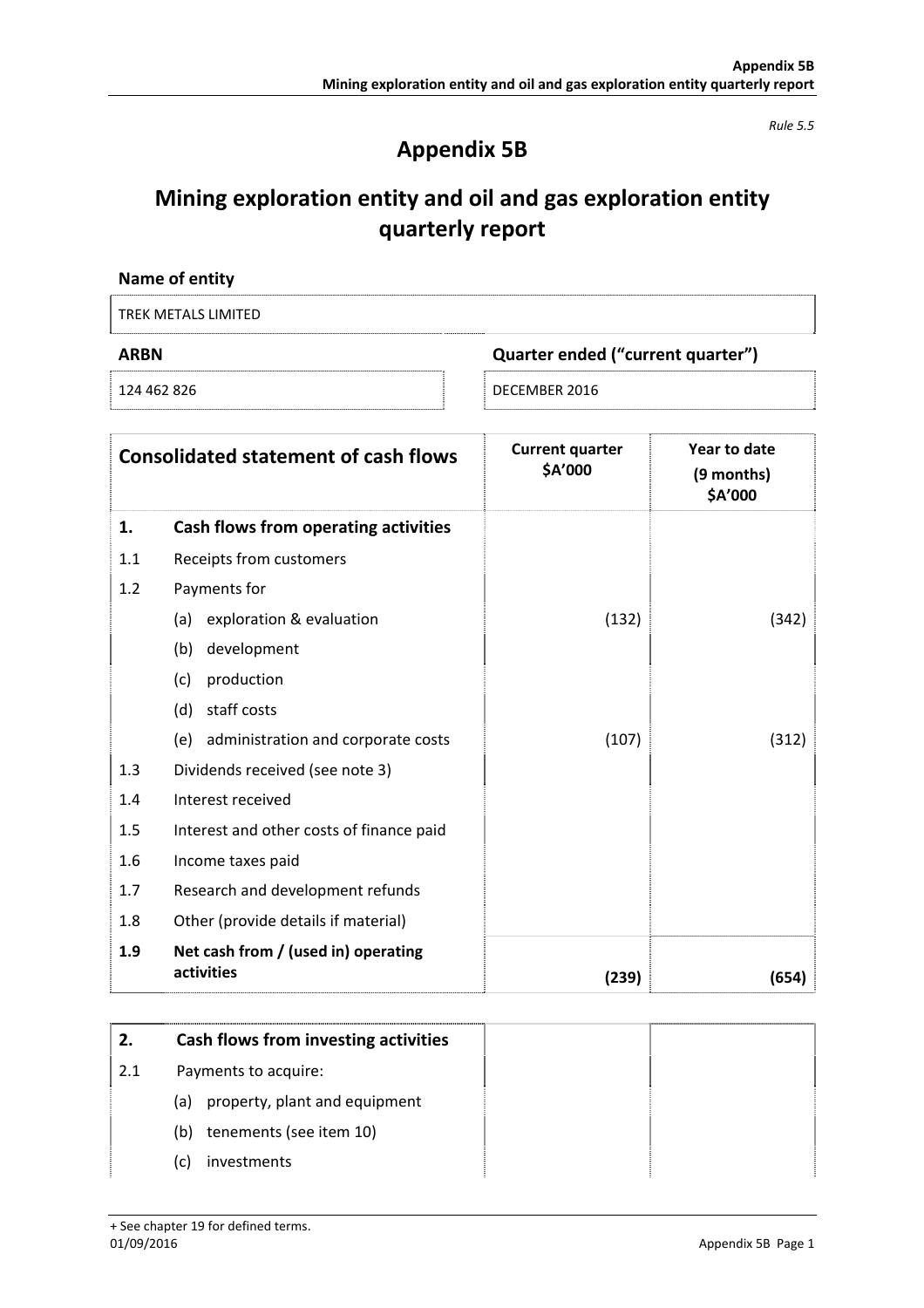*Rule 5.5* 

## **Appendix 5B**

# **Mining exploration entity and oil and gas exploration entity quarterly report**

| Name of entity      |                                   |
|---------------------|-----------------------------------|
| TREK METALS LIMITED |                                   |
| <b>ARBN</b>         | Quarter ended ("current quarter") |
| 124 462 826         | DECEMBER 2016                     |

|     | <b>Consolidated statement of cash flows</b>       | <b>Current quarter</b><br>\$A'000 | Year to date<br>(9 months)<br>\$A'000 |
|-----|---------------------------------------------------|-----------------------------------|---------------------------------------|
| 1.  | Cash flows from operating activities              |                                   |                                       |
| 1.1 | Receipts from customers                           |                                   |                                       |
| 1.2 | Payments for                                      |                                   |                                       |
|     | exploration & evaluation<br>(a)                   | (132)                             | (342)                                 |
|     | development<br>(b)                                |                                   |                                       |
|     | (c)<br>production                                 |                                   |                                       |
|     | staff costs<br>(d)                                |                                   |                                       |
|     | administration and corporate costs<br>(e)         | (107)                             | (312)                                 |
| 1.3 | Dividends received (see note 3)                   |                                   |                                       |
| 1.4 | Interest received                                 |                                   |                                       |
| 1.5 | Interest and other costs of finance paid          |                                   |                                       |
| 1.6 | Income taxes paid                                 |                                   |                                       |
| 1.7 | Research and development refunds                  |                                   |                                       |
| 1.8 | Other (provide details if material)               |                                   |                                       |
| 1.9 | Net cash from / (used in) operating<br>activities | (239)                             | (654)                                 |

| 2.          | Cash flows from investing activities |  |
|-------------|--------------------------------------|--|
| $\vert 2.1$ | Payments to acquire:                 |  |
|             | property, plant and equipment<br>(a) |  |
|             | tenements (see item 10)<br>(b)       |  |
|             | investments<br>(C)                   |  |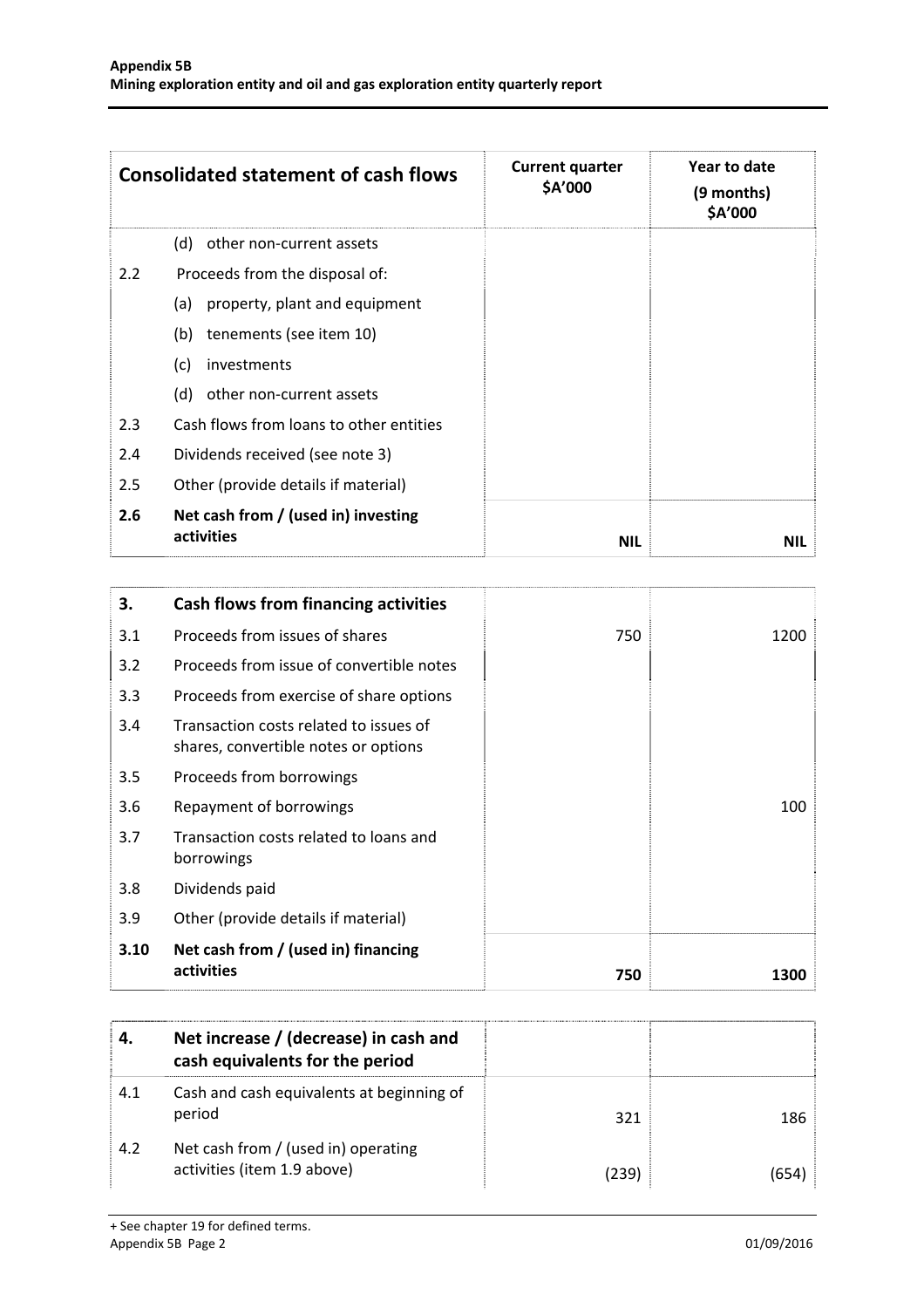|                                                          | <b>Consolidated statement of cash flows</b> | <b>Current quarter</b><br>\$A'000 | Year to date<br>(9 months)<br>\$A'000 |
|----------------------------------------------------------|---------------------------------------------|-----------------------------------|---------------------------------------|
|                                                          | (d)<br>other non-current assets             |                                   |                                       |
| 2.2                                                      | Proceeds from the disposal of:              |                                   |                                       |
|                                                          | property, plant and equipment<br>(a)        |                                   |                                       |
|                                                          | tenements (see item 10)<br>(b)              |                                   |                                       |
|                                                          | (c)<br>investments                          |                                   |                                       |
|                                                          | other non-current assets<br>(d)             |                                   |                                       |
| 2.3                                                      | Cash flows from loans to other entities     |                                   |                                       |
| 2.4                                                      | Dividends received (see note 3)             |                                   |                                       |
| 2.5<br>Other (provide details if material)               |                                             |                                   |                                       |
| Net cash from / (used in) investing<br>2.6<br>activities |                                             | <b>NIL</b>                        | <b>NIL</b>                            |

| 3.   | <b>Cash flows from financing activities</b>                                    |     |      |
|------|--------------------------------------------------------------------------------|-----|------|
| 3.1  | Proceeds from issues of shares                                                 | 750 | 1200 |
| 3.2  | Proceeds from issue of convertible notes                                       |     |      |
| 3.3  | Proceeds from exercise of share options                                        |     |      |
| 3.4  | Transaction costs related to issues of<br>shares, convertible notes or options |     |      |
| 3.5  | Proceeds from borrowings                                                       |     |      |
| 3.6  | Repayment of borrowings                                                        |     | 100  |
| 3.7  | Transaction costs related to loans and<br>borrowings                           |     |      |
| 3.8  | Dividends paid                                                                 |     |      |
| 3.9  | Other (provide details if material)                                            |     |      |
| 3.10 | Net cash from / (used in) financing<br>activities                              | 750 | 1300 |

|     | Net increase / (decrease) in cash and<br>cash equivalents for the period |       |     |
|-----|--------------------------------------------------------------------------|-------|-----|
| 4.1 | Cash and cash equivalents at beginning of<br>period                      | 321   | 186 |
| 4.2 | Net cash from / (used in) operating<br>activities (item 1.9 above)       | (239) |     |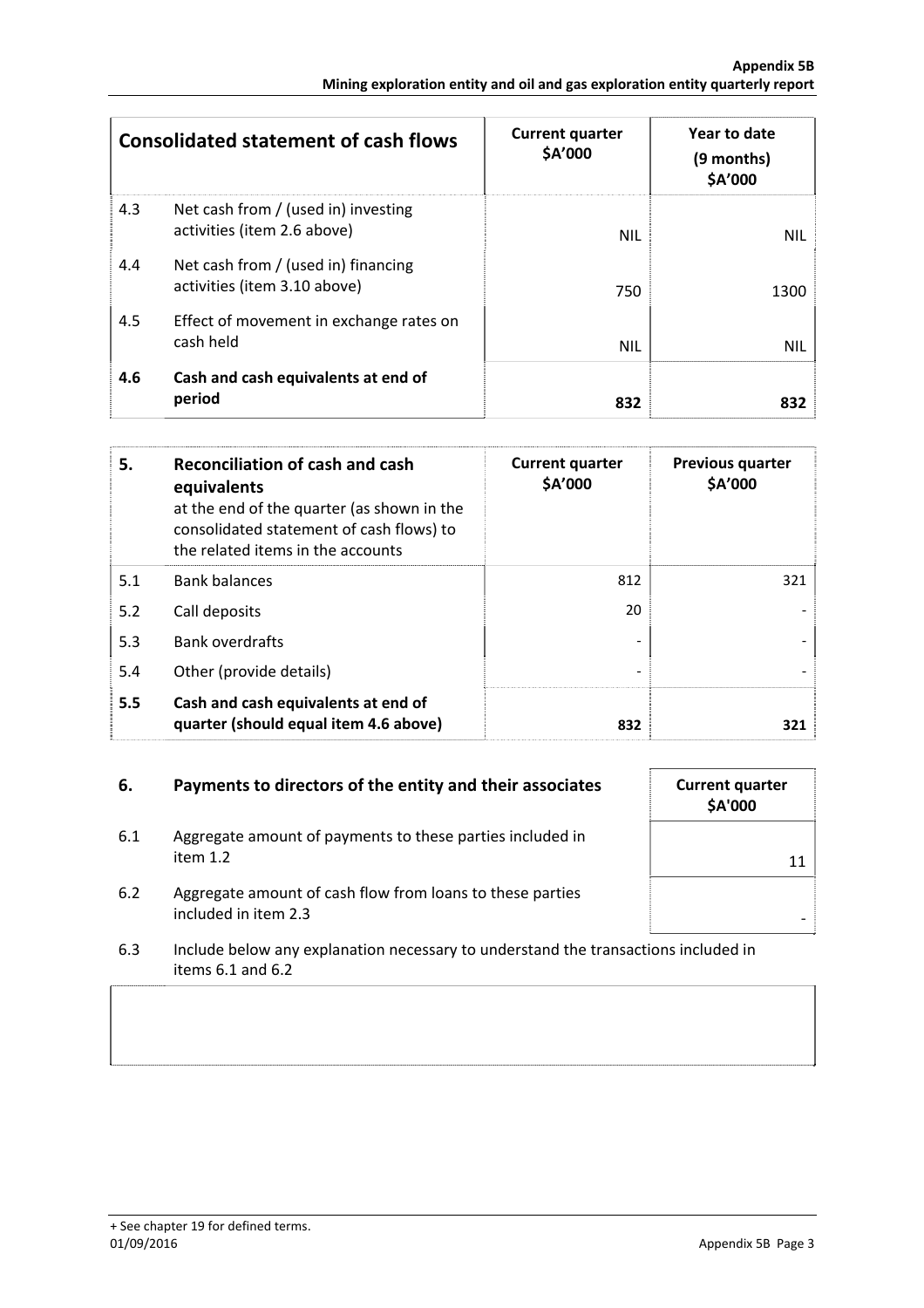|     | <b>Consolidated statement of cash flows</b>                         | <b>Current quarter</b><br>\$A'000 | Year to date<br>(9 months)<br>\$A'000 |
|-----|---------------------------------------------------------------------|-----------------------------------|---------------------------------------|
| 4.3 | Net cash from / (used in) investing<br>activities (item 2.6 above)  | <b>NIL</b>                        | <b>NIL</b>                            |
| 4.4 | Net cash from / (used in) financing<br>activities (item 3.10 above) | 750                               | 1300                                  |
| 4.5 | Effect of movement in exchange rates on<br>cash held                | <b>NIL</b>                        | <b>NIL</b>                            |
| 4.6 | Cash and cash equivalents at end of<br>period                       | 832                               | 832                                   |

| 5.  | Reconciliation of cash and cash<br>equivalents<br>at the end of the quarter (as shown in the<br>consolidated statement of cash flows) to<br>the related items in the accounts | <b>Current quarter</b><br>\$A'000 | <b>Previous quarter</b><br>\$A'000 |
|-----|-------------------------------------------------------------------------------------------------------------------------------------------------------------------------------|-----------------------------------|------------------------------------|
| 5.1 | <b>Bank balances</b>                                                                                                                                                          | 812                               | 321                                |
| 5.2 | Call deposits                                                                                                                                                                 | 20                                |                                    |
| 5.3 | <b>Bank overdrafts</b>                                                                                                                                                        |                                   |                                    |
| 5.4 | Other (provide details)                                                                                                                                                       |                                   |                                    |
| 5.5 | Cash and cash equivalents at end of<br>quarter (should equal item 4.6 above)                                                                                                  | 832                               | 321                                |

### **6.** Payments to directors of the entity and their associates **Current quarter**

- 6.1 Aggregate amount of payments to these parties included in item 1.2  $\qquad \qquad$  11
- 6.2 Aggregate amount of cash flow from loans to these parties  $\blacksquare$ included in item 2.3  $\blacksquare$
- 6.3 Include below any explanation necessary to understand the transactions included in items 6.1 and 6.2

**\$A'000**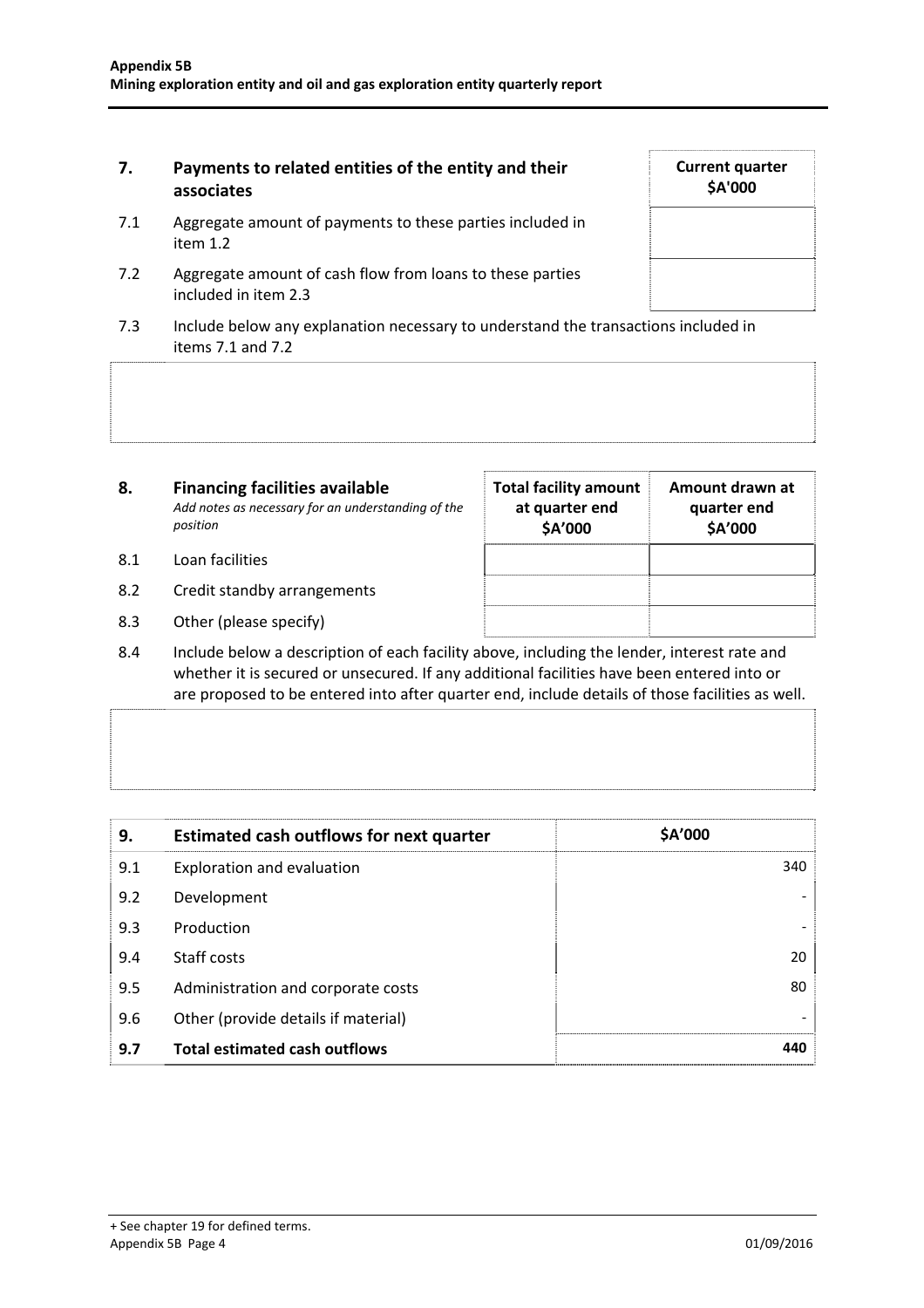### **7. Payments to related entities of the entity and their associates**

- 7.1 Aggregate amount of payments to these parties included in item 1.2
- 7.2 Aggregate amount of cash flow from loans to these parties included in item 2.3
- 7.3 Include below any explanation necessary to understand the transactions included in items 7.1 and 7.2

| 8.  | <b>Financing facilities available</b><br>Add notes as necessary for an understanding of the<br>position | <b>Total facility amount</b><br>at quarter end<br>\$A'000 | Amount drawn at<br>quarter end<br>\$A'000 |
|-----|---------------------------------------------------------------------------------------------------------|-----------------------------------------------------------|-------------------------------------------|
| 8.1 | Loan facilities                                                                                         |                                                           |                                           |
| 8.2 | Credit standby arrangements                                                                             |                                                           |                                           |

- 8.3 Other (please specify)
- 8.4 Include below a description of each facility above, including the lender, interest rate and whether it is secured or unsecured. If any additional facilities have been entered into or are proposed to be entered into after quarter end, include details of those facilities as well.

| 9.  | <b>Estimated cash outflows for next quarter</b> | \$A'000 |
|-----|-------------------------------------------------|---------|
| 9.1 | Exploration and evaluation                      | 340     |
| 9.2 | Development                                     |         |
| 9.3 | Production                                      |         |
| 9.4 | Staff costs                                     | 20      |
| 9.5 | Administration and corporate costs              | 80      |
| 9.6 | Other (provide details if material)             |         |
| 9.7 | <b>Total estimated cash outflows</b>            | 440     |